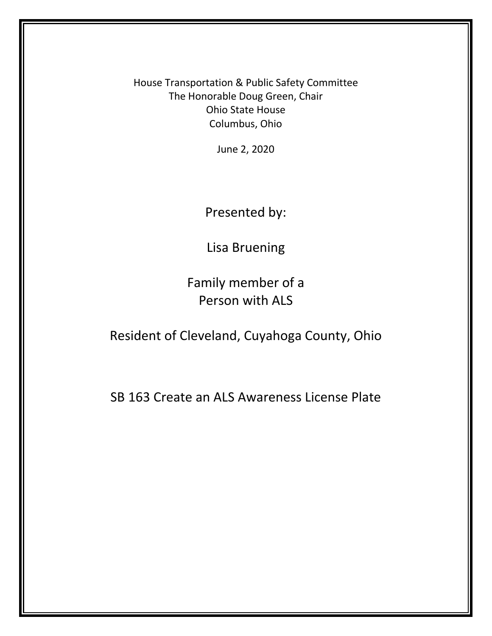House Transportation & Public Safety Committee The Honorable Doug Green, Chair Ohio State House Columbus, Ohio

June 2, 2020

Presented by:

Lisa Bruening

Family member of a Person with ALS

Resident of Cleveland, Cuyahoga County, Ohio

SB 163 Create an ALS Awareness License Plate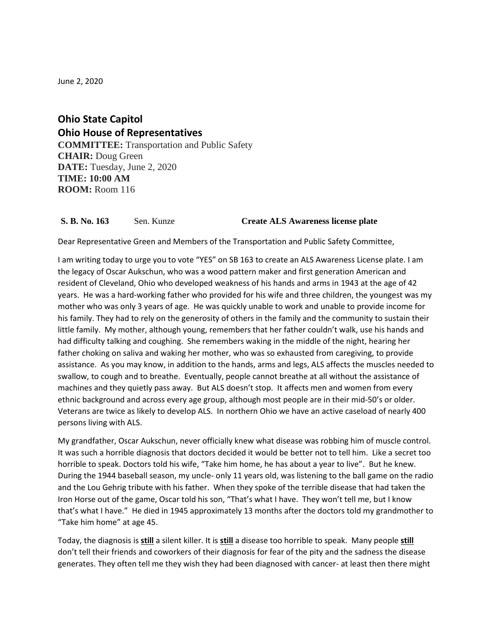June 2, 2020

**Ohio State Capitol Ohio House of Representatives COMMITTEE:** Transportation and Public Safety **CHAIR:** Doug Green **DATE:** Tuesday, June 2, 2020 **TIME: 10:00 AM ROOM:** Room 116

## **S. B. No. 163** Sen. Kunze **Create ALS Awareness license plate**

Dear Representative Green and Members of the Transportation and Public Safety Committee,

I am writing today to urge you to vote "YES" on SB 163 to create an ALS Awareness License plate. I am the legacy of Oscar Aukschun, who was a wood pattern maker and first generation American and resident of Cleveland, Ohio who developed weakness of his hands and arms in 1943 at the age of 42 years. He was a hard-working father who provided for his wife and three children, the youngest was my mother who was only 3 years of age. He was quickly unable to work and unable to provide income for his family. They had to rely on the generosity of others in the family and the community to sustain their little family. My mother, although young, remembers that her father couldn't walk, use his hands and had difficulty talking and coughing. She remembers waking in the middle of the night, hearing her father choking on saliva and waking her mother, who was so exhausted from caregiving, to provide assistance. As you may know, in addition to the hands, arms and legs, ALS affects the muscles needed to swallow, to cough and to breathe. Eventually, people cannot breathe at all without the assistance of machines and they quietly pass away. But ALS doesn't stop. It affects men and women from every ethnic background and across every age group, although most people are in their mid-50's or older. Veterans are twice as likely to develop ALS. In northern Ohio we have an active caseload of nearly 400 persons living with ALS.

My grandfather, Oscar Aukschun, never officially knew what disease was robbing him of muscle control. It was such a horrible diagnosis that doctors decided it would be better not to tell him. Like a secret too horrible to speak. Doctors told his wife, "Take him home, he has about a year to live". But he knew. During the 1944 baseball season, my uncle- only 11 years old, was listening to the ball game on the radio and the Lou Gehrig tribute with his father. When they spoke of the terrible disease that had taken the Iron Horse out of the game, Oscar told his son, "That's what I have. They won't tell me, but I know that's what I have." He died in 1945 approximately 13 months after the doctors told my grandmother to "Take him home" at age 45.

Today, the diagnosis is **still** a silent killer. It is **still** a disease too horrible to speak. Many people **still** don't tell their friends and coworkers of their diagnosis for fear of the pity and the sadness the disease generates. They often tell me they wish they had been diagnosed with cancer- at least then there might